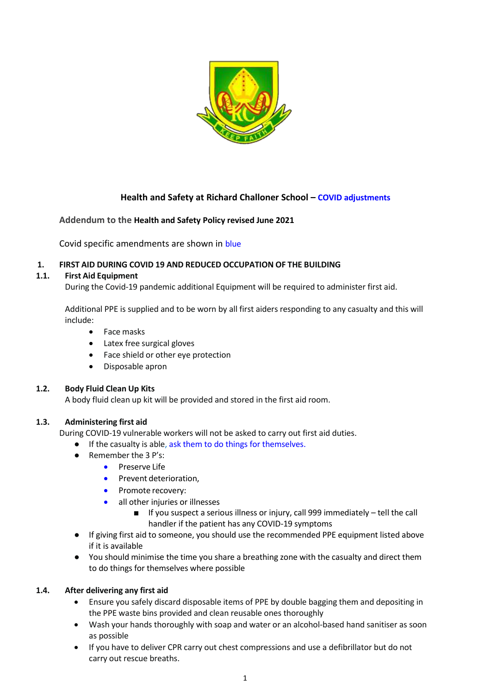

# **Health and Safety at Richard Challoner School – COVID adjustments**

## **Addendum to the Health and Safety Policy revised June 2021**

Covid specific amendments are shown in blue

### **1. FIRST AID DURING COVID 19 AND REDUCED OCCUPATION OF THE BUILDING**

### **1.1. First Aid Equipment**

During the Covid-19 pandemic additional Equipment will be required to administer first aid.

Additional PPE is supplied and to be worn by all first aiders responding to any casualty and this will include:

- Face masks
- Latex free surgical gloves
- Face shield or other eye protection
- Disposable apron

### **1.2. Body Fluid Clean Up Kits**

A body fluid clean up kit will be provided and stored in the first aid room.

### **1.3. Administering first aid**

During COVID-19 vulnerable workers will not be asked to carry out first aid duties.

- If the casualty is able, ask them to do things for themselves.
- Remember the 3 P's:
	- Preserve Life
	- Prevent deterioration,
	- Promote recovery:
	- all other injuries or illnesses
		- If you suspect a serious illness or injury, call 999 immediately tell the call handler if the patient has any COVID-19 symptoms
- If giving first aid to someone, you should use the recommended PPE equipment listed above if it is available
- You should minimise the time you share a breathing zone with the casualty and direct them to do things for themselves where possible

## **1.4. After delivering any first aid**

- Ensure you safely discard disposable items of PPE by double bagging them and depositing in the PPE waste bins provided and clean reusable ones thoroughly
- Wash your hands thoroughly with soap and water or an alcohol-based hand sanitiser as soon as possible
- If you have to deliver CPR carry out chest compressions and use a defibrillator but do not carry out rescue breaths.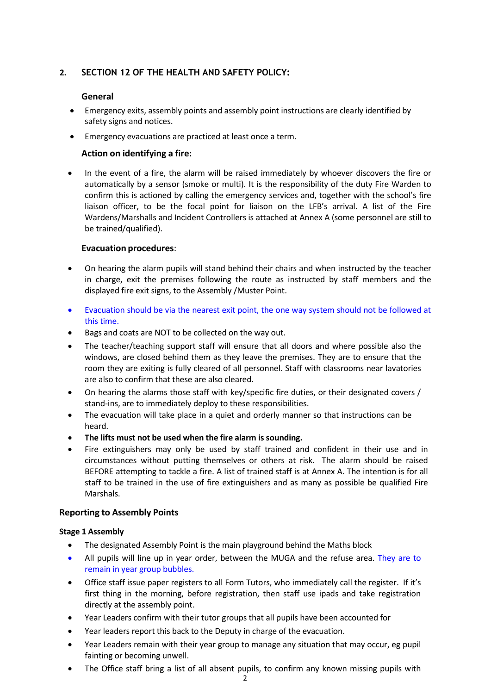## **2. SECTION 12 OF THE HEALTH AND SAFETY POLICY:**

## **General**

- Emergency exits, assembly points and assembly point instructions are clearly identified by safety signs and notices.
- Emergency evacuations are practiced at least once a term.

### **Action on identifying a fire:**

 In the event of a fire, the alarm will be raised immediately by whoever discovers the fire or automatically by a sensor (smoke or multi). It is the responsibility of the duty Fire Warden to confirm this is actioned by calling the emergency services and, together with the school's fire liaison officer, to be the focal point for liaison on the LFB's arrival. A list of the Fire Wardens/Marshalls and Incident Controllers is attached at Annex A (some personnel are still to be trained/qualified).

### **Evacuation procedures**:

- On hearing the alarm pupils will stand behind their chairs and when instructed by the teacher in charge, exit the premises following the route as instructed by staff members and the displayed fire exit signs, to the Assembly /Muster Point.
- Evacuation should be via the nearest exit point, the one way system should not be followed at this time.
- Bags and coats are NOT to be collected on the way out.
- The teacher/teaching support staff will ensure that all doors and where possible also the windows, are closed behind them as they leave the premises. They are to ensure that the room they are exiting is fully cleared of all personnel. Staff with classrooms near lavatories are also to confirm that these are also cleared.
- On hearing the alarms those staff with key/specific fire duties, or their designated covers / stand-ins, are to immediately deploy to these responsibilities.
- The evacuation will take place in a quiet and orderly manner so that instructions can be heard.
- **The lifts must not be used when the fire alarm is sounding.**
- Fire extinguishers may only be used by staff trained and confident in their use and in circumstances without putting themselves or others at risk. The alarm should be raised BEFORE attempting to tackle a fire. A list of trained staff is at Annex A. The intention is for all staff to be trained in the use of fire extinguishers and as many as possible be qualified Fire Marshals.

## **Reporting to Assembly Points**

### **Stage 1 Assembly**

- The designated Assembly Point is the main playground behind the Maths block
- All pupils will line up in year order, between the MUGA and the refuse area. They are to remain in year group bubbles.
- Office staff issue paper registers to all Form Tutors, who immediately call the register. If it's first thing in the morning, before registration, then staff use ipads and take registration directly at the assembly point.
- Year Leaders confirm with their tutor groups that all pupils have been accounted for
- Year leaders report this back to the Deputy in charge of the evacuation.
- Year Leaders remain with their year group to manage any situation that may occur, eg pupil fainting or becoming unwell.
- The Office staff bring a list of all absent pupils, to confirm any known missing pupils with